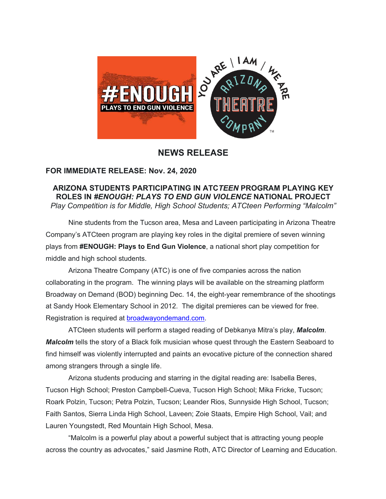

## **NEWS RELEASE**

## **FOR IMMEDIATE RELEASE: Nov. 24, 2020**

## **ARIZONA STUDENTS PARTICIPATING IN ATC***TEEN* **PROGRAM PLAYING KEY ROLES IN** *#ENOUGH: PLAYS TO END GUN VIOLENCE* **NATIONAL PROJECT** *Play Competition is for Middle, High School Students; ATCteen Performing "Malcolm"*

Nine students from the Tucson area, Mesa and Laveen participating in Arizona Theatre Company's ATCteen program are playing key roles in the digital premiere of seven winning plays from **#ENOUGH: Plays to End Gun Violence**, a national short play competition for middle and high school students.

Arizona Theatre Company (ATC) is one of five companies across the nation collaborating in the program. The winning plays will be available on the streaming platform Broadway on Demand (BOD) beginning Dec. 14, the eight-year remembrance of the shootings at Sandy Hook Elementary School in 2012. The digital premieres can be viewed for free. Registration is required at broadwayondemand.com.

ATCteen students will perform a staged reading of Debkanya Mitra's play, *Malcolm*. *Malcolm* tells the story of a Black folk musician whose quest through the Eastern Seaboard to find himself was violently interrupted and paints an evocative picture of the connection shared among strangers through a single life.

Arizona students producing and starring in the digital reading are: Isabella Beres, Tucson High School; Preston Campbell-Cueva, Tucson High School; Mika Fricke, Tucson; Roark Polzin, Tucson; Petra Polzin, Tucson; Leander Rios, Sunnyside High School, Tucson; Faith Santos, Sierra Linda High School, Laveen; Zoie Staats, Empire High School, Vail; and Lauren Youngstedt, Red Mountain High School, Mesa.

"Malcolm is a powerful play about a powerful subject that is attracting young people across the country as advocates," said Jasmine Roth, ATC Director of Learning and Education.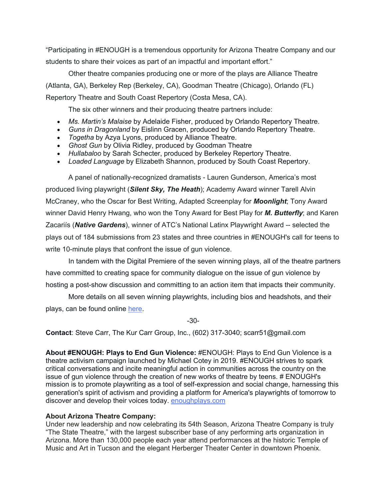"Participating in #ENOUGH is a tremendous opportunity for Arizona Theatre Company and our students to share their voices as part of an impactful and important effort."

Other theatre companies producing one or more of the plays are Alliance Theatre (Atlanta, GA), Berkeley Rep (Berkeley, CA), Goodman Theatre (Chicago), Orlando (FL) Repertory Theatre and South Coast Repertory (Costa Mesa, CA).

The six other winners and their producing theatre partners include:

- *Ms. Martin's Malaise* by Adelaide Fisher, produced by Orlando Repertory Theatre.
- *Guns in Dragonland* by Eislinn Gracen, produced by Orlando Repertory Theatre.
- *Togetha* by Azya Lyons, produced by Alliance Theatre.
- *Ghost Gun* by Olivia Ridley, produced by Goodman Theatre
- *Hullabaloo* by Sarah Schecter, produced by Berkeley Repertory Theatre.
- *Loaded Language* by Elizabeth Shannon, produced by South Coast Repertory.

A panel of nationally-recognized dramatists - Lauren Gunderson, America's most produced living playwright (*Silent Sky, The Heath*); Academy Award winner Tarell Alvin McCraney, who the Oscar for Best Writing, Adapted Screenplay for *Moonlight*; Tony Award winner David Henry Hwang, who won the Tony Award for Best Play for *M. Butterfly*; and Karen Zacariís (*Native Gardens*), winner of ATC's National Latinx Playwright Award -- selected the plays out of 184 submissions from 23 states and three countries in #ENOUGH's call for teens to write 10-minute plays that confront the issue of gun violence.

In tandem with the Digital Premiere of the seven winning plays, all of the theatre partners have committed to creating space for community dialogue on the issue of gun violence by hosting a post-show discussion and committing to an action item that impacts their community.

More details on all seven winning playwrights, including bios and headshots, and their plays, can be found online here.

-30-

**Contact**: Steve Carr, The Kur Carr Group, Inc., (602) 317-3040; scarr51@gmail.com

**About #ENOUGH: Plays to End Gun Violence:** #ENOUGH: Plays to End Gun Violence is a theatre activism campaign launched by Michael Cotey in 2019. #ENOUGH strives to spark critical conversations and incite meaningful action in communities across the country on the issue of gun violence through the creation of new works of theatre by teens. # ENOUGH's mission is to promote playwriting as a tool of self-expression and social change, harnessing this generation's spirit of activism and providing a platform for America's playwrights of tomorrow to discover and develop their voices today. enoughplays.com

## **About Arizona Theatre Company:**

Under new leadership and now celebrating its 54th Season, Arizona Theatre Company is truly "The State Theatre," with the largest subscriber base of any performing arts organization in Arizona. More than 130,000 people each year attend performances at the historic Temple of Music and Art in Tucson and the elegant Herberger Theater Center in downtown Phoenix.